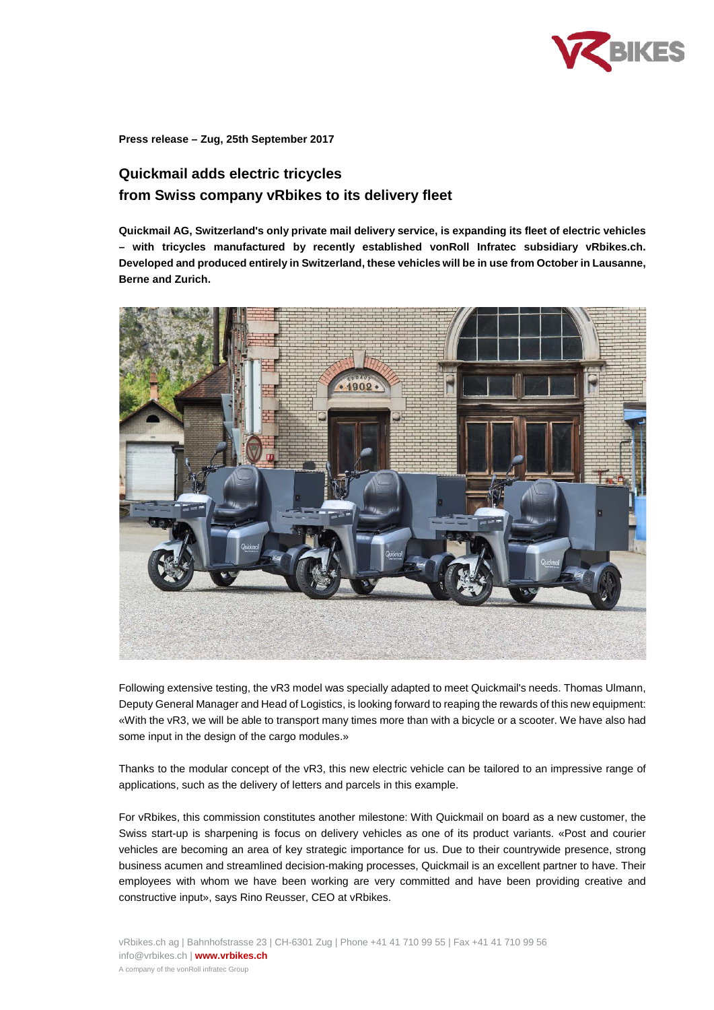

**Press release – Zug, 25th September 2017**

# **Quickmail adds electric tricycles from Swiss company vRbikes to its delivery fleet**

**Quickmail AG, Switzerland's only private mail delivery service, is expanding its fleet of electric vehicles – with tricycles manufactured by recently established vonRoll Infratec subsidiary vRbikes.ch. Developed and produced entirely in Switzerland, these vehicles will be in use from October in Lausanne, Berne and Zurich.** 



Following extensive testing, the vR3 model was specially adapted to meet Quickmail's needs. Thomas Ulmann, Deputy General Manager and Head of Logistics, is looking forward to reaping the rewards of this new equipment: «With the vR3, we will be able to transport many times more than with a bicycle or a scooter. We have also had some input in the design of the cargo modules.»

Thanks to the modular concept of the vR3, this new electric vehicle can be tailored to an impressive range of applications, such as the delivery of letters and parcels in this example.

For vRbikes, this commission constitutes another milestone: With Quickmail on board as a new customer, the Swiss start-up is sharpening is focus on delivery vehicles as one of its product variants. «Post and courier vehicles are becoming an area of key strategic importance for us. Due to their countrywide presence, strong business acumen and streamlined decision-making processes, Quickmail is an excellent partner to have. Their employees with whom we have been working are very committed and have been providing creative and constructive input», says Rino Reusser, CEO at vRbikes.